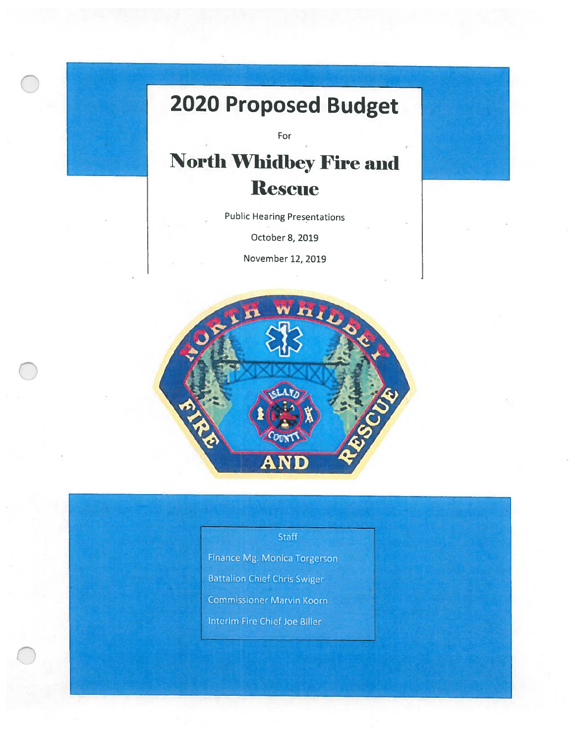## 2020 Proposed Budget

For

## **North Whidbey Fire and Rescue**

Public Hearing Presentations

October 8, 2019

November 12, 2019



## Staff

Finance Mg. Monica Torgerson **Battalion Chief Chris Swiger Commissioner Marvin Koorn** Interim Fire Chief Joe Biller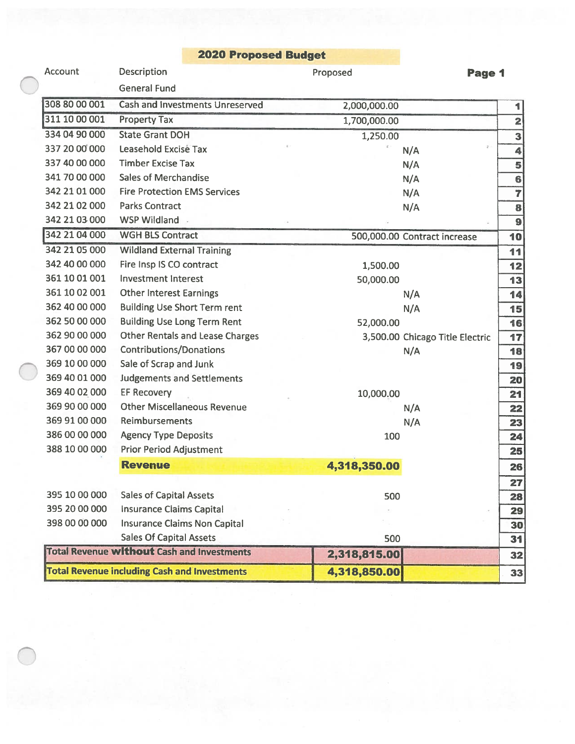## Proposed Budget

| <b>Account</b> | <b>Description</b>                                  | Proposed     | Page 1                          |                         |
|----------------|-----------------------------------------------------|--------------|---------------------------------|-------------------------|
|                | <b>General Fund</b>                                 |              |                                 |                         |
| 308 80 00 001  | <b>Cash and Investments Unreserved</b>              | 2,000,000.00 |                                 | 1                       |
| 311 10 00 001  | <b>Property Tax</b>                                 | 1,700,000.00 |                                 | $\overline{\mathbf{2}}$ |
| 334 04 90 000  | <b>State Grant DOH</b>                              | 1,250.00     |                                 | 3                       |
| 337 20 00 000  | <b>Leasehold Excise Tax</b>                         |              | ÷.<br>N/A                       | 4                       |
| 337 40 00 000  | <b>Timber Excise Tax</b>                            |              | N/A                             | 5                       |
| 341 70 00 000  | <b>Sales of Merchandise</b>                         |              | N/A                             | 6                       |
| 342 21 01 000  | <b>Fire Protection EMS Services</b>                 |              | N/A                             | $\overline{7}$          |
| 342 21 02 000  | <b>Parks Contract</b>                               |              | N/A                             | 8                       |
| 342 21 03 000  | WSP Wildland                                        |              |                                 | 9                       |
| 342 21 04 000  | <b>WGH BLS Contract</b>                             |              | 500,000.00 Contract increase    | 10                      |
| 342 21 05 000  | <b>Wildland External Training</b>                   |              |                                 | 11                      |
| 342 40 00 000  | Fire Insp IS CO contract                            | 1,500.00     |                                 | 12                      |
| 361 10 01 001  | <b>Investment Interest</b>                          | 50,000.00    |                                 | 13                      |
| 361 10 02 001  | <b>Other Interest Earnings</b>                      |              | N/A                             | 14                      |
| 362 40 00 000  | <b>Building Use Short Term rent</b>                 |              | N/A                             | 15                      |
| 362 50 00 000  | <b>Building Use Long Term Rent</b>                  | 52,000.00    |                                 | 16                      |
| 362 90 00 000  | <b>Other Rentals and Lease Charges</b>              |              | 3,500.00 Chicago Title Electric | 17                      |
| 367 00 00 000  | <b>Contributions/Donations</b>                      |              | N/A                             | 18                      |
| 369 10 00 000  | Sale of Scrap and Junk                              |              |                                 | 19                      |
| 369 40 01 000  | <b>Judgements and Settlements</b>                   |              |                                 | 20                      |
| 369 40 02 000  | <b>EF Recovery</b>                                  | 10,000.00    |                                 | 21                      |
| 369 90 00 000  | <b>Other Miscellaneous Revenue</b>                  |              | N/A                             | 22                      |
| 369 91 00 000  | <b>Reimbursements</b>                               |              | N/A                             | 23                      |
| 386 00 00 000  | <b>Agency Type Deposits</b>                         | 100          |                                 | 24                      |
| 388 10 00 000  | <b>Prior Period Adjustment</b>                      |              |                                 | 25                      |
|                | <b>Revenue</b>                                      | 4,318,350.00 |                                 | 26                      |
|                |                                                     |              |                                 | 27                      |
| 395 10 00 000  | <b>Sales of Capital Assets</b>                      | 500          |                                 | 28                      |
| 395 20 00 000  | <b>Insurance Claims Capital</b>                     |              |                                 | 29                      |
| 398 00 00 000  | <b>Insurance Claims Non Capital</b>                 |              |                                 | 30                      |
|                | <b>Sales Of Capital Assets</b>                      | 500          |                                 | 31                      |
|                | <b>Total Revenue without Cash and Investments</b>   | 2,318,815.00 |                                 | 32                      |
|                | <b>Total Revenue including Cash and Investments</b> | 4,318,850.00 |                                 | 33                      |
|                |                                                     |              |                                 |                         |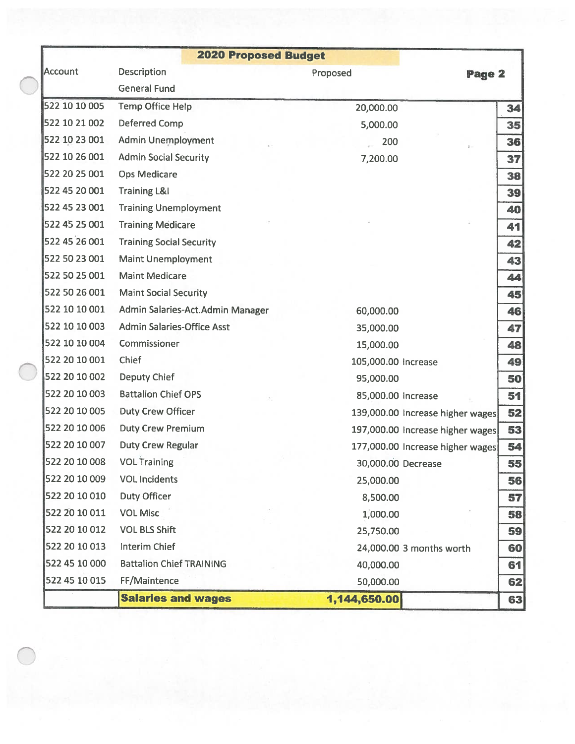|               | <b>2020 Proposed Budget</b>       |                                  |        |    |
|---------------|-----------------------------------|----------------------------------|--------|----|
| Account       | <b>Description</b>                | Proposed                         | Page 2 |    |
|               | <b>General Fund</b>               |                                  |        |    |
| 522 10 10 005 | <b>Temp Office Help</b>           | 20,000.00                        |        | 34 |
| 522 10 21 002 | <b>Deferred Comp</b>              | 5,000.00                         |        | 35 |
| 522 10 23 001 | <b>Admin Unemployment</b>         | 200                              | ¥.     | 36 |
| 522 10 26 001 | <b>Admin Social Security</b>      | 7,200.00                         |        | 37 |
| 522 20 25 001 | <b>Ops Medicare</b>               |                                  |        | 38 |
| 522 45 20 001 | <b>Training L&amp;I</b>           |                                  |        | 39 |
| 522 45 23 001 | <b>Training Unemployment</b>      |                                  |        | 40 |
| 522 45 25 001 | <b>Training Medicare</b>          |                                  |        | 41 |
| 522 45 26 001 | <b>Training Social Security</b>   |                                  |        | 42 |
| 522 50 23 001 | <b>Maint Unemployment</b>         |                                  |        | 43 |
| 522 50 25 001 | <b>Maint Medicare</b>             |                                  |        | 44 |
| 522 50 26 001 | <b>Maint Social Security</b>      |                                  |        | 45 |
| 522 10 10 001 | Admin Salaries-Act. Admin Manager | 60,000.00                        |        | 46 |
| 522 10 10 003 | <b>Admin Salaries-Office Asst</b> | 35,000.00                        |        | 47 |
| 522 10 10 004 | Commissioner                      | 15,000.00                        |        | 48 |
| 522 20 10 001 | Chief                             | 105,000.00 Increase              |        | 49 |
| 522 20 10 002 | <b>Deputy Chief</b>               | 95,000.00                        |        | 50 |
| 522 20 10 003 | <b>Battalion Chief OPS</b>        | 85,000.00 Increase               |        | 51 |
| 522 20 10 005 | <b>Duty Crew Officer</b>          | 139,000.00 Increase higher wages |        | 52 |
| 522 20 10 006 | <b>Duty Crew Premium</b>          | 197,000.00 Increase higher wages |        | 53 |
| 522 20 10 007 | <b>Duty Crew Regular</b>          | 177,000.00 Increase higher wages |        | 54 |
| 522 20 10 008 | <b>VOL Training</b>               | 30,000.00 Decrease               |        | 55 |
| 522 20 10 009 | <b>VOL Incidents</b>              | 25,000.00                        |        | 56 |
| 522 20 10 010 | <b>Duty Officer</b>               | 8,500.00                         |        | 57 |
| 522 20 10 011 | <b>VOL Misc</b>                   | 1,000.00                         |        | 58 |
| 522 20 10 012 | <b>VOL BLS Shift</b>              | 25,750.00                        |        | 59 |
| 522 20 10 013 | <b>Interim Chief</b>              | 24,000.00 3 months worth         |        | 60 |
| 522 45 10 000 | <b>Battalion Chief TRAINING</b>   | 40,000.00                        |        | 61 |
| 522 45 10 015 | FF/Maintence                      | 50,000.00                        |        | 62 |
|               | <b>Salaries and wages</b>         | 1,144,650.00                     |        | 63 |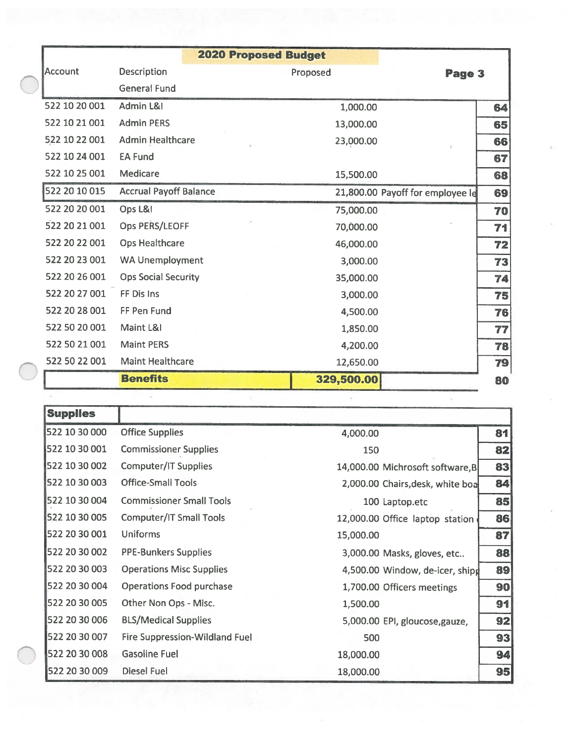|                | <b>2020 Proposed Budget</b>   |                                  |        |
|----------------|-------------------------------|----------------------------------|--------|
| <b>Account</b> | Description                   | Proposed                         | Page 3 |
|                | <b>General Fund</b>           |                                  |        |
| 522 10 20 001  | Admin L&I                     | 1,000.00                         |        |
| 522 10 21 001  | <b>Admin PERS</b>             | 13,000.00                        |        |
| 522 10 22 001  | <b>Admin Healthcare</b>       | 23,000.00                        |        |
| 522 10 24 001  | <b>EA Fund</b>                |                                  |        |
| 522 10 25 001  | Medicare                      | 15,500.00                        |        |
| 522 20 10 015  | <b>Accrual Payoff Balance</b> | 21,800.00 Payoff for employee le |        |
| 522 20 20 001  | Ops L&I                       | 75,000.00                        |        |
| 522 20 21 001  | Ops PERS/LEOFF                | 70,000.00                        |        |
| 522 20 22 001  | <b>Ops Healthcare</b>         | 46,000.00                        |        |
| 522 20 23 001  | <b>WA Unemployment</b>        | 3,000.00                         |        |
| 522 20 26 001  | <b>Ops Social Security</b>    | 35,000.00                        |        |
| 522 20 27 001  | FF Dis Ins                    | 3,000.00                         |        |
| 522 20 28 001  | FF Pen Fund                   | 4,500.00                         |        |
| 522 50 20 001  | Maint L&I                     | 1,850.00                         |        |
| 522 50 21 001  | <b>Maint PERS</b>             | 4,200.00                         |        |
| 522 50 22 001  | <b>Maint Healthcare</b>       | 12,650.00                        |        |
|                | <b>Benefits</b>               | 329,500.00                       |        |

| <b>Supplies</b> |                                       |           |                                  |    |
|-----------------|---------------------------------------|-----------|----------------------------------|----|
| 522 10 30 000   | <b>Office Supplies</b>                | 4,000.00  |                                  | 81 |
| 522 10 30 001   | <b>Commissioner Supplies</b>          | 150       |                                  | 82 |
| 522 10 30 002   | <b>Computer/IT Supplies</b>           |           | 14,000.00 Michrosoft software, B | 83 |
| 522 10 30 003   | <b>Office-Small Tools</b>             |           | 2,000.00 Chairs, desk, white boa | 84 |
| 522 10 30 004   | <b>Commissioner Small Tools</b>       |           | 100 Laptop.etc                   | 85 |
| 522 10 30 005   | <b>Computer/IT Small Tools</b>        |           | 12,000.00 Office laptop station  | 86 |
| 522 20 30 001   | Uniforms                              | 15,000.00 |                                  | 87 |
| 522 20 30 002   | <b>PPE-Bunkers Supplies</b>           |           | 3,000.00 Masks, gloves, etc      | 88 |
| 522 20 30 003   | <b>Operations Misc Supplies</b>       |           | 4,500.00 Window, de-icer, shipp  | 89 |
| 522 20 30 004   | <b>Operations Food purchase</b>       |           | 1,700.00 Officers meetings       | 90 |
| 522 20 30 005   | Other Non Ops - Misc.                 | 1,500.00  |                                  | 91 |
| 522 20 30 006   | <b>BLS/Medical Supplies</b>           |           | 5,000.00 EPI, gloucose, gauze,   | 92 |
| 522 20 30 007   | <b>Fire Suppression-Wildland Fuel</b> | 500       |                                  | 93 |
| 522 20 30 008   | <b>Gasoline Fuel</b>                  | 18,000.00 |                                  | 94 |
| 522 20 30 009   | <b>Diesel Fuel</b>                    | 18,000.00 |                                  | 95 |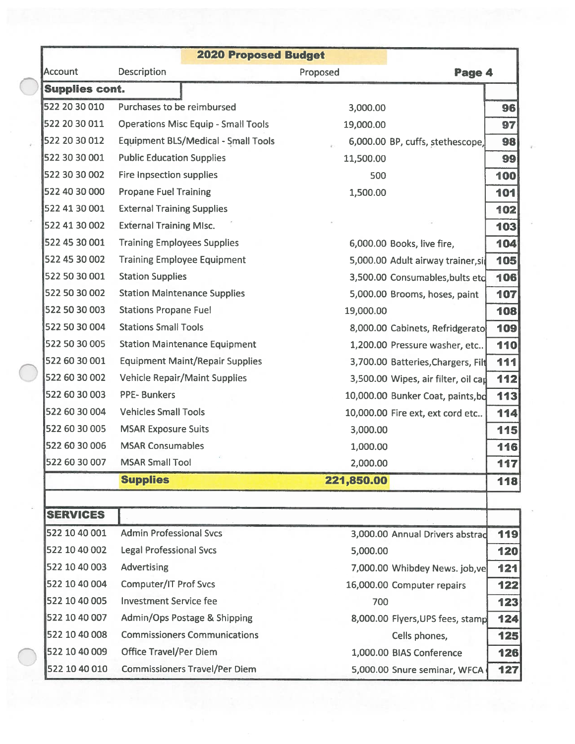|                       |                                            | <b>2020 Proposed Budget</b> |                                            |
|-----------------------|--------------------------------------------|-----------------------------|--------------------------------------------|
| <b>Account</b>        | <b>Description</b>                         | Proposed                    | Page 4                                     |
| <b>Supplies cont.</b> |                                            |                             |                                            |
| 522 20 30 010         | Purchases to be reimbursed                 | 3,000.00                    | 96                                         |
| 522 20 30 011         | <b>Operations Misc Equip - Small Tools</b> | 19,000.00                   | 97                                         |
| 522 20 30 012         | <b>Equipment BLS/Medical - Small Tools</b> |                             | 98<br>6,000.00 BP, cuffs, stethescope,     |
| 522 30 30 001         | <b>Public Education Supplies</b>           | 11,500.00                   | 99                                         |
| 522 30 30 002         | Fire Inpsection supplies                   | 500                         | 100                                        |
| 522 40 30 000         | <b>Propane Fuel Training</b>               | 1,500.00                    | 101                                        |
| 522 41 30 001         | <b>External Training Supplies</b>          |                             | 102                                        |
| 522 41 30 002         | <b>External Training MIsc.</b>             |                             | 103                                        |
| 522 45 30 001         | <b>Training Employees Supplies</b>         |                             | 104<br>6,000.00 Books, live fire,          |
| 522 45 30 002         | <b>Training Employee Equipment</b>         |                             | 105<br>5,000.00 Adult airway trainer, si   |
| 522 50 30 001         | <b>Station Supplies</b>                    |                             | 106<br>3,500.00 Consumables, bults etc     |
| 522 50 30 002         | <b>Station Maintenance Supplies</b>        |                             | 107<br>5,000.00 Brooms, hoses, paint       |
| 522 50 30 003         | <b>Stations Propane Fuel</b>               | 19,000.00                   | 108                                        |
| 522 50 30 004         | <b>Stations Small Tools</b>                |                             | 109<br>8,000.00 Cabinets, Refridgerato     |
| 522 50 30 005         | <b>Station Maintenance Equipment</b>       |                             | 110<br>1,200.00 Pressure washer, etc       |
| 522 60 30 001         | <b>Equipment Maint/Repair Supplies</b>     |                             | 111<br>3,700.00 Batteries, Chargers, Filt  |
| 522 60 30 002         | <b>Vehicle Repair/Maint Supplies</b>       |                             | 112<br>3,500.00 Wipes, air filter, oil can |
| 522 60 30 003         | <b>PPE-Bunkers</b>                         |                             | 113<br>10,000.00 Bunker Coat, paints, bd   |
| 522 60 30 004         | <b>Vehicles Small Tools</b>                |                             | 114<br>10,000.00 Fire ext, ext cord etc    |
| 522 60 30 005         | <b>MSAR Exposure Suits</b>                 | 3,000.00                    | 115                                        |
| 522 60 30 006         | <b>MSAR Consumables</b>                    | 1,000.00                    | 116                                        |
| 522 60 30 007         | <b>MSAR Small Tool</b>                     | 2,000.00                    | 117                                        |
|                       | <b>Supplies</b>                            | 221,850.00                  | 118                                        |
|                       |                                            |                             |                                            |
| <b>SERVICES</b>       |                                            |                             |                                            |
| 522 10 40 001         | <b>Admin Professional Svcs</b>             |                             | 119<br>3,000.00 Annual Drivers abstrad     |
| 522 10 40 002         | <b>Legal Professional Svcs</b>             | 5,000.00                    | 120                                        |
| 522 10 40 003         | <b>Advertising</b>                         |                             | 121<br>7,000.00 Whibdey News. job, ve      |
| 522 10 40 004         | <b>Computer/IT Prof Svcs</b>               |                             | 16,000.00 Computer repairs<br>122          |
| 522 10 40 005         | <b>Investment Service fee</b>              | 700                         | 123                                        |
| 522 10 40 007         | Admin/Ops Postage & Shipping               |                             | 124<br>8,000.00 Flyers, UPS fees, stamp    |
| 522 10 40 008         | <b>Commissioners Communications</b>        |                             | Cells phones,<br>125                       |
| 522 10 40 009         | <b>Office Travel/Per Diem</b>              |                             | 1,000.00 BIAS Conference<br>126            |
| 522 10 40 010         | <b>Commissioners Travel/Per Diem</b>       |                             | 127<br>5,000.00 Snure seminar, WFCA        |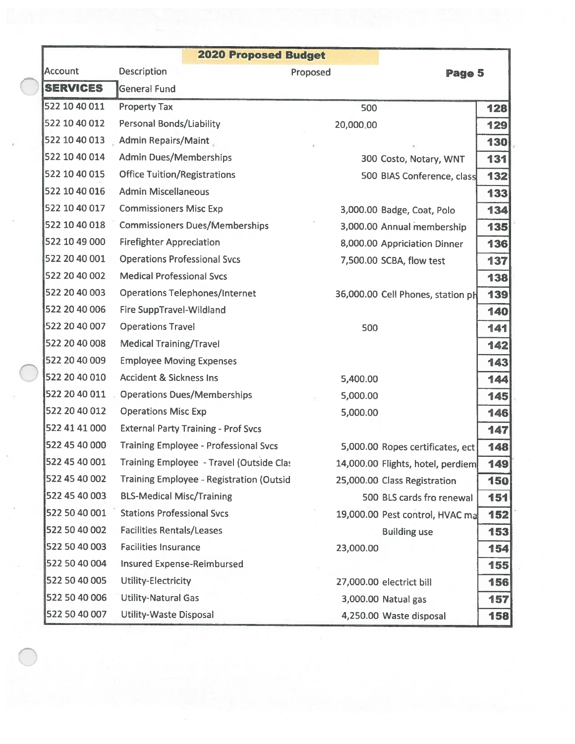|                 | <b>2020 Proposed Budget</b>                      |           |                                   |     |
|-----------------|--------------------------------------------------|-----------|-----------------------------------|-----|
| Account         | <b>Description</b>                               | Proposed  | Page 5                            |     |
| <b>SERVICES</b> | <b>General Fund</b>                              |           |                                   |     |
| 522 10 40 011   | <b>Property Tax</b>                              | 500       |                                   | 128 |
| 522 10 40 012   | <b>Personal Bonds/Liability</b>                  | 20,000.00 |                                   | 129 |
| 522 10 40 013   | <b>Admin Repairs/Maint</b>                       |           |                                   | 130 |
| 522 10 40 014   | <b>Admin Dues/Memberships</b>                    |           | 300 Costo, Notary, WNT            | 131 |
| 522 10 40 015   | <b>Office Tuition/Registrations</b>              |           | 500 BIAS Conference, class        | 132 |
| 522 10 40 016   | <b>Admin Miscellaneous</b>                       |           |                                   | 133 |
| 522 10 40 017   | <b>Commissioners Misc Exp</b>                    |           | 3,000.00 Badge, Coat, Polo        | 134 |
| 522 10 40 018   | <b>Commissioners Dues/Memberships</b>            |           | 3,000.00 Annual membership        | 135 |
| 522 10 49 000   | <b>Firefighter Appreciation</b>                  |           | 8,000.00 Appriciation Dinner      | 136 |
| 522 20 40 001   | <b>Operations Professional Svcs</b>              |           | 7,500.00 SCBA, flow test          | 137 |
| 522 20 40 002   | <b>Medical Professional Svcs</b>                 |           |                                   | 138 |
| 522 20 40 003   | <b>Operations Telephones/Internet</b>            |           | 36,000.00 Cell Phones, station ph | 139 |
| 522 20 40 006   | <b>Fire SuppTravel-Wildland</b>                  |           |                                   | 140 |
| 522 20 40 007   | <b>Operations Travel</b>                         | 500       |                                   | 141 |
| 522 20 40 008   | <b>Medical Training/Travel</b>                   |           |                                   | 142 |
| 522 20 40 009   | <b>Employee Moving Expenses</b>                  |           |                                   | 143 |
| 522 20 40 010   | <b>Accident &amp; Sickness Ins</b>               | 5,400.00  |                                   | 144 |
| 522 20 40 011   | <b>Operations Dues/Memberships</b>               | 5,000.00  |                                   | 145 |
| 522 20 40 012   | <b>Operations Misc Exp</b>                       | 5,000.00  |                                   | 146 |
| 522 41 41 000   | <b>External Party Training - Prof Svcs</b>       |           |                                   | 147 |
| 522 45 40 000   | <b>Training Employee - Professional Svcs</b>     |           | 5,000.00 Ropes certificates, ect  | 148 |
| 522 45 40 001   | <b>Training Employee - Travel (Outside Clast</b> |           | 14,000.00 Flights, hotel, perdiem | 149 |
| 522 45 40 002   | <b>Training Employee - Registration (Outsid</b>  |           | 25,000.00 Class Registration      | 150 |
| 522 45 40 003   | <b>BLS-Medical Misc/Training</b>                 |           | 500 BLS cards fro renewal         | 151 |
| 522 50 40 001   | <b>Stations Professional Svcs</b>                |           | 19,000.00 Pest control, HVAC ma   | 152 |
| 522 50 40 002   | <b>Facilities Rentals/Leases</b>                 |           | <b>Building use</b>               | 153 |
| 522 50 40 003   | <b>Facilities Insurance</b>                      | 23,000.00 |                                   | 154 |
| 522 50 40 004   | <b>Insured Expense-Reimbursed</b>                |           |                                   | 155 |
| 522 50 40 005   | Utility-Electricity                              |           | 27,000.00 electrict bill          | 156 |
| 522 50 40 006   | <b>Utility-Natural Gas</b>                       |           | 3,000.00 Natual gas               | 157 |
| 522 50 40 007   | <b>Utility-Waste Disposal</b>                    |           | 4,250.00 Waste disposal           | 158 |

 $\bar{x}$ 

 $\frac{\pi}{2}$ 

 $\bar{\mathbf{S}}$ 

 $\bar{\nu}$ 

 $\bigcirc$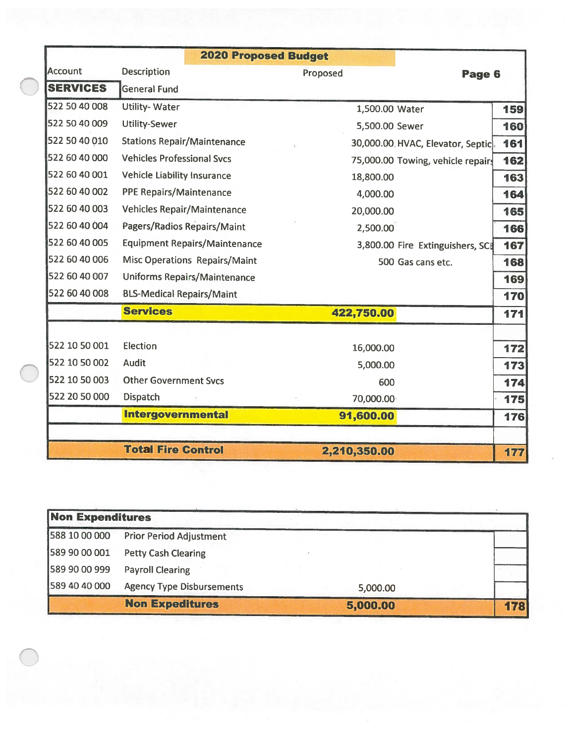|                 | <b>2020 Proposed Budget</b>          |                |                                          |
|-----------------|--------------------------------------|----------------|------------------------------------------|
| <b>Account</b>  | <b>Description</b>                   | Proposed       | Page 6                                   |
| <b>SERVICES</b> | <b>General Fund</b>                  |                |                                          |
| 522 50 40 008   | <b>Utility-Water</b>                 | 1,500.00 Water | 159                                      |
| 522 50 40 009   | <b>Utility-Sewer</b>                 | 5,500.00 Sewer | 160                                      |
| 522 50 40 010   | <b>Stations Repair/Maintenance</b>   |                | 161<br>30,000.00 HVAC, Elevator, Septic. |
| 522 60 40 000   | <b>Vehicles Professional Sycs</b>    |                | 162<br>75,000.00 Towing, vehicle repairs |
| 522 60 40 001   | <b>Vehicle Liability Insurance</b>   | 18,800.00      | 163                                      |
| 522 60 40 002   | <b>PPE Repairs/Maintenance</b>       | 4,000.00       | 164                                      |
| 522 60 40 003   | <b>Vehicles Repair/Maintenance</b>   | 20,000.00      | 165                                      |
| 522 60 40 004   | <b>Pagers/Radios Repairs/Maint</b>   | 2,500.00       | 166                                      |
| 522 60 40 005   | <b>Equipment Repairs/Maintenance</b> |                | 167<br>3,800.00 Fire Extinguishers, SCI  |
| 522 60 40 006   | <b>Misc Operations Repairs/Maint</b> |                | 168<br>500 Gas cans etc.                 |
| 522 60 40 007   | <b>Uniforms Repairs/Maintenance</b>  |                | 169                                      |
| 522 60 40 008   | <b>BLS-Medical Repairs/Maint</b>     |                | 170                                      |
|                 | <b>Services</b>                      | 422,750.00     | 171                                      |
|                 |                                      |                |                                          |
| 522 10 50 001   | Election                             | 16,000.00      | 172                                      |
| 522 10 50 002   | <b>Audit</b>                         | 5,000.00       | 173                                      |
| 522 10 50 003   | <b>Other Government Svcs</b>         | 600            | 174                                      |
| 522 20 50 000   | <b>Dispatch</b>                      | 70,000.00      | 175                                      |
|                 | <b>Intergovernmental</b>             | 91,600.00      | 176                                      |
|                 | <b>Total Fire Control</b>            | 2,210,350.00   | 177                                      |

| <b>Non Expenditures</b> |                                  |          |     |
|-------------------------|----------------------------------|----------|-----|
| 588 10 00 000           | <b>Prior Period Adjustment</b>   |          |     |
| 589 90 00 001           | <b>Petty Cash Clearing</b>       |          |     |
| 589 90 00 999           | <b>Payroll Clearing</b>          |          |     |
| 589 40 40 000           | <b>Agency Type Disbursements</b> | 5,000.00 |     |
|                         | <b>Non Expeditures</b>           | 5,000.00 | 178 |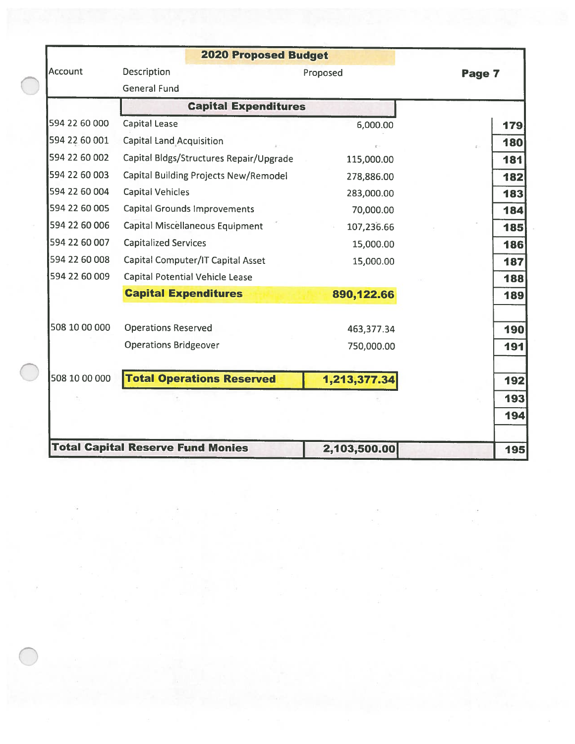|                | <b>2020 Proposed Budget</b>              |              |        |
|----------------|------------------------------------------|--------------|--------|
| <b>Account</b> | Description                              | Proposed     | Page 7 |
|                | <b>General Fund</b>                      |              |        |
|                | <b>Capital Expenditures</b>              |              |        |
| 594 22 60 000  | <b>Capital Lease</b>                     | 6,000.00     | 179    |
| 594 22 60 001  | <b>Capital Land Acquisition</b>          |              | 180    |
| 594 22 60 002  | Capital Bldgs/Structures Repair/Upgrade  | 115,000.00   | 181    |
| 594 22 60 003  | Capital Building Projects New/Remodel    | 278,886.00   | 182    |
| 594 22 60 004  | <b>Capital Vehicles</b>                  | 283,000.00   | 183    |
| 594 22 60 005  | <b>Capital Grounds Improvements</b>      | 70,000.00    | 184    |
| 594 22 60 006  | Capital Miscellaneous Equipment          | 107,236.66   | 185    |
| 594 22 60 007  | <b>Capitalized Services</b>              | 15,000.00    | 186    |
| 594 22 60 008  | Capital Computer/IT Capital Asset        | 15,000.00    | 187    |
| 594 22 60 009  | <b>Capital Potential Vehicle Lease</b>   |              | 188    |
|                | <b>Capital Expenditures</b>              | 890,122.66   | 189    |
| 508 10 00 000  | <b>Operations Reserved</b>               | 463,377.34   | 190    |
|                | <b>Operations Bridgeover</b>             | 750,000.00   | 191    |
| 508 10 00 000  | <b>Total Operations Reserved</b>         | 1,213,377.34 | 192    |
|                |                                          |              | 193    |
|                |                                          |              | 194    |
|                | <b>Total Capital Reserve Fund Monies</b> | 2,103,500.00 | 195    |